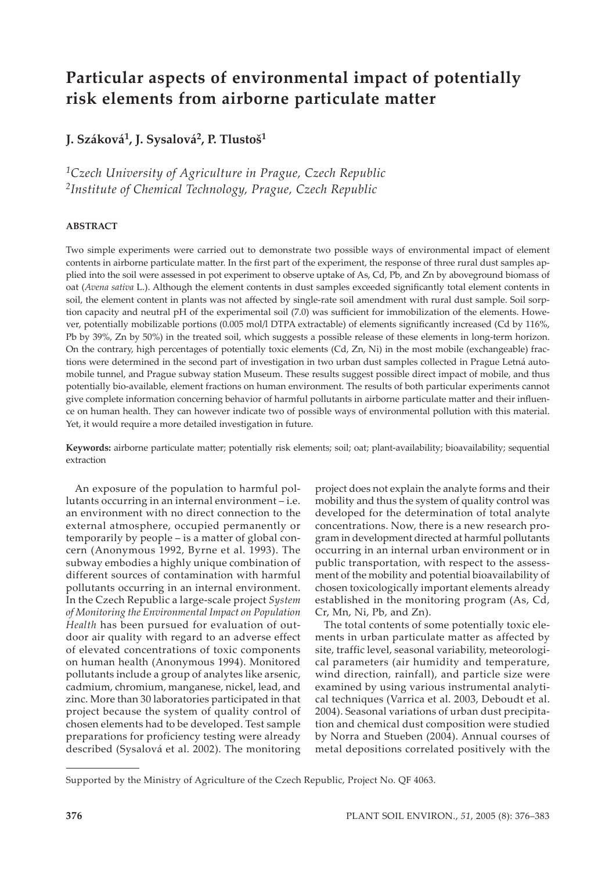# **Particular aspects of environmental impact of potentially risk elements from airborne particulate matter**

# **J. Száková1, J. Sysalová2, P. Tlustoš1**

*1Czech University of Agriculture in Prague, Czech Republic 2Institute of Chemical Technology, Prague, Czech Republic*

#### **ABSTRACT**

Two simple experiments were carried out to demonstrate two possible ways of environmental impact of element contents in airborne particulate matter. In the first part of the experiment, the response of three rural dust samples applied into the soil were assessed in pot experiment to observe uptake of As, Cd, Pb, and Zn by aboveground biomass of oat (*Avena sativa* L.). Although the element contents in dust samples exceeded significantly total element contents in soil, the element content in plants was not affected by single-rate soil amendment with rural dust sample. Soil sorption capacity and neutral pH of the experimental soil (7.0) was sufficient for immobilization of the elements. However, potentially mobilizable portions (0.005 mol/l DTPA extractable) of elements significantly increased (Cd by 116%, Pb by 39%, Zn by 50%) in the treated soil, which suggests a possible release of these elements in long-term horizon. On the contrary, high percentages of potentially toxic elements (Cd, Zn, Ni) in the most mobile (exchangeable) fractions were determined in the second part of investigation in two urban dust samples collected in Prague Letná automobile tunnel, and Prague subway station Museum. These results suggest possible direct impact of mobile, and thus potentially bio-available, element fractions on human environment. The results of both particular experiments cannot give complete information concerning behavior of harmful pollutants in airborne particulate ma�er and their influence on human health. They can however indicate two of possible ways of environmental pollution with this material. Yet, it would require a more detailed investigation in future.

**Keywords:** airborne particulate ma�er; potentially risk elements; soil; oat; plant-availability; bioavailability; sequential extraction

An exposure of the population to harmful pollutants occurring in an internal environment – i.e. an environment with no direct connection to the external atmosphere, occupied permanently or temporarily by people – is a matter of global concern (Anonymous 1992, Byrne et al. 1993). The subway embodies a highly unique combination of different sources of contamination with harmful pollutants occurring in an internal environment. In the Czech Republic a large-scale project *System of Monitoring the Environmental Impact on Population Health* has been pursued for evaluation of outdoor air quality with regard to an adverse effect of elevated concentrations of toxic components on human health (Anonymous 1994). Monitored pollutants include a group of analytes like arsenic, cadmium, chromium, manganese, nickel, lead, and zinc. More than 30 laboratories participated in that project because the system of quality control of chosen elements had to be developed. Test sample preparations for proficiency testing were already described (Sysalová et al. 2002). The monitoring

project does not explain the analyte forms and their mobility and thus the system of quality control was developed for the determination of total analyte concentrations. Now, there is a new research program in development directed at harmful pollutants occurring in an internal urban environment or in public transportation, with respect to the assessment of the mobility and potential bioavailability of chosen toxicologically important elements already established in the monitoring program (As, Cd, Cr, Mn, Ni, Pb, and Zn).

The total contents of some potentially toxic elements in urban particulate matter as affected by site, traffic level, seasonal variability, meteorological parameters (air humidity and temperature, wind direction, rainfall), and particle size were examined by using various instrumental analytical techniques (Varrica et al. 2003, Deboudt et al. 2004). Seasonal variations of urban dust precipitation and chemical dust composition were studied by Norra and Stueben (2004). Annual courses of metal depositions correlated positively with the

Supported by the Ministry of Agriculture of the Czech Republic, Project No. QF 4063.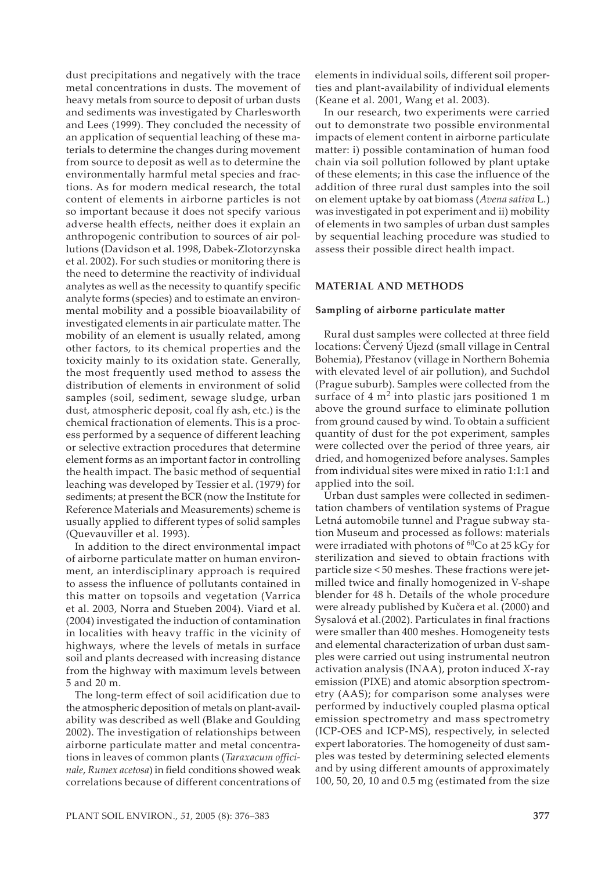dust precipitations and negatively with the trace metal concentrations in dusts. The movement of heavy metals from source to deposit of urban dusts and sediments was investigated by Charlesworth and Lees (1999). They concluded the necessity of an application of sequential leaching of these materials to determine the changes during movement from source to deposit as well as to determine the environmentally harmful metal species and fractions. As for modern medical research, the total content of elements in airborne particles is not so important because it does not specify various adverse health effects, neither does it explain an anthropogenic contribution to sources of air pollutions (Davidson et al. 1998, Dabek-Zlotorzynska et al. 2002). For such studies or monitoring there is the need to determine the reactivity of individual analytes as well as the necessity to quantify specific analyte forms (species) and to estimate an environmental mobility and a possible bioavailability of investigated elements in air particulate matter. The mobility of an element is usually related, among other factors, to its chemical properties and the toxicity mainly to its oxidation state. Generally, the most frequently used method to assess the distribution of elements in environment of solid samples (soil, sediment, sewage sludge, urban dust, atmospheric deposit, coal fly ash, etc.) is the chemical fractionation of elements. This is a process performed by a sequence of different leaching or selective extraction procedures that determine element forms as an important factor in controlling the health impact. The basic method of sequential leaching was developed by Tessier et al. (1979) for sediments; at present the BCR (now the Institute for Reference Materials and Measurements) scheme is usually applied to different types of solid samples (Quevauviller et al. 1993).

In addition to the direct environmental impact of airborne particulate matter on human environment, an interdisciplinary approach is required to assess the influence of pollutants contained in this matter on topsoils and vegetation (Varrica et al. 2003, Norra and Stueben 2004). Viard et al. (2004) investigated the induction of contamination in localities with heavy traffic in the vicinity of highways, where the levels of metals in surface soil and plants decreased with increasing distance from the highway with maximum levels between 5 and 20 m.

The long-term effect of soil acidification due to the atmospheric deposition of metals on plant-availability was described as well (Blake and Goulding 2002). The investigation of relationships between airborne particulate matter and metal concentrations in leaves of common plants (*Taraxacum officinale*, *Rumex acetosa*) in field conditions showed weak correlations because of different concentrations of elements in individual soils, different soil properties and plant-availability of individual elements (Keane et al. 2001, Wang et al. 2003).

In our research, two experiments were carried out to demonstrate two possible environmental impacts of element content in airborne particulate matter: i) possible contamination of human food chain via soil pollution followed by plant uptake of these elements; in this case the influence of the addition of three rural dust samples into the soil on element uptake by oat biomass (*Avena sativa* L.) was investigated in pot experiment and ii) mobility of elements in two samples of urban dust samples by sequential leaching procedure was studied to assess their possible direct health impact.

#### **MATERIAL AND METHODS**

#### **Sampling of airborne particulate matter**

Rural dust samples were collected at three field locations: Červený Újezd (small village in Central Bohemia), Přestanov (village in Northern Bohemia with elevated level of air pollution), and Suchdol (Prague suburb). Samples were collected from the surface of  $4 \text{ m}^2$  into plastic jars positioned 1 m above the ground surface to eliminate pollution from ground caused by wind. To obtain a sufficient quantity of dust for the pot experiment, samples were collected over the period of three years, air dried, and homogenized before analyses. Samples from individual sites were mixed in ratio 1:1:1 and applied into the soil.

Urban dust samples were collected in sedimentation chambers of ventilation systems of Prague Letná automobile tunnel and Prague subway station Museum and processed as follows: materials were irradiated with photons of  ${}^{60}Co$  at 25 kGy for sterilization and sieved to obtain fractions with particle size < 50 meshes. These fractions were jetmilled twice and finally homogenized in V-shape blender for 48 h. Details of the whole procedure were already published by Kučera et al. (2000) and Sysalová et al.(2002). Particulates in final fractions were smaller than 400 meshes. Homogeneity tests and elemental characterization of urban dust samples were carried out using instrumental neutron activation analysis (INAA), proton induced *X*-ray emission (PIXE) and atomic absorption spectrometry (AAS); for comparison some analyses were performed by inductively coupled plasma optical emission spectrometry and mass spectrometry (ICP-OES and ICP-MS), respectively, in selected expert laboratories. The homogeneity of dust samples was tested by determining selected elements and by using different amounts of approximately 100, 50, 20, 10 and 0.5 mg (estimated from the size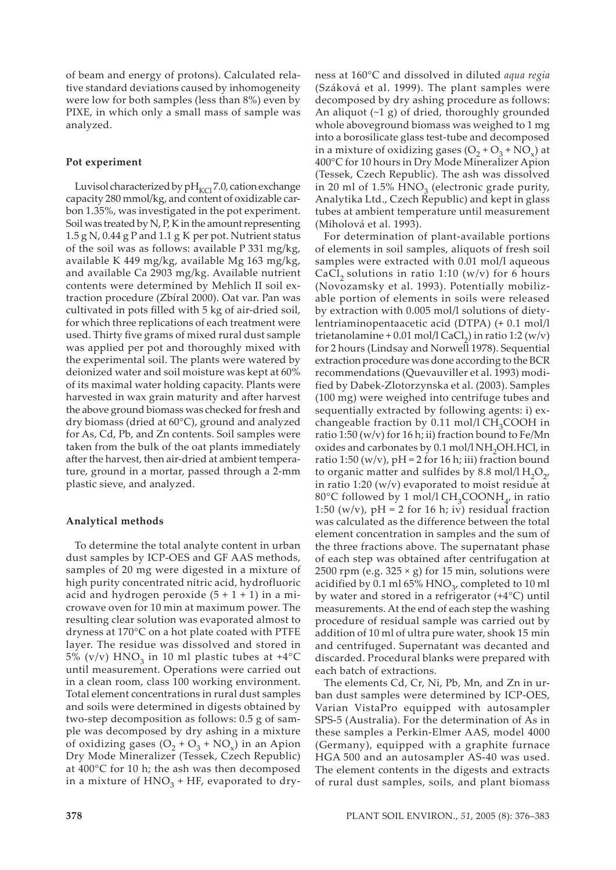of beam and energy of protons). Calculated relative standard deviations caused by inhomogeneity were low for both samples (less than 8%) even by PIXE, in which only a small mass of sample was analyzed.

#### **Pot experiment**

Luvisol characterized by  $pH_{\text{KCl}}$  7.0, cation exchange capacity 280 mmol/kg, and content of oxidizable carbon 1.35%, was investigated in the pot experiment. Soil was treated by N, P, K in the amount representing 1.5 g N, 0.44 g P and 1.1 g K per pot. Nutrient status of the soil was as follows: available P 331 mg/kg, available K 449 mg/kg, available Mg 163 mg/kg, and available Ca 2903 mg/kg. Available nutrient contents were determined by Mehlich II soil extraction procedure (Zbíral 2000). Oat var. Pan was cultivated in pots filled with 5 kg of air-dried soil, for which three replications of each treatment were used. Thirty five grams of mixed rural dust sample was applied per pot and thoroughly mixed with the experimental soil. The plants were watered by deionized water and soil moisture was kept at 60% of its maximal water holding capacity. Plants were harvested in wax grain maturity and after harvest the above ground biomass was checked for fresh and dry biomass (dried at 60°C), ground and analyzed for As, Cd, Pb, and Zn contents. Soil samples were taken from the bulk of the oat plants immediately after the harvest, then air-dried at ambient temperature, ground in a mortar, passed through a 2-mm plastic sieve, and analyzed.

#### **Analytical methods**

To determine the total analyte content in urban dust samples by ICP-OES and GF AAS methods, samples of 20 mg were digested in a mixture of high purity concentrated nitric acid, hydrofluoric acid and hydrogen peroxide  $(5 + 1 + 1)$  in a microwave oven for 10 min at maximum power. The resulting clear solution was evaporated almost to dryness at 170°C on a hot plate coated with PTFE layer. The residue was dissolved and stored in 5% (v/v)  $HNO<sub>3</sub>$  in 10 ml plastic tubes at +4 $^{\circ}$ C until measurement. Operations were carried out in a clean room, class 100 working environment. Total element concentrations in rural dust samples and soils were determined in digests obtained by two-step decomposition as follows: 0.5 g of sample was decomposed by dry ashing in a mixture of oxidizing gases  $(O_2 + O_3 + NO_3)$  in an Apion Dry Mode Mineralizer (Tessek, Czech Republic) at 400°C for 10 h; the ash was then decomposed in a mixture of  $HNO<sub>3</sub> + HF$ , evaporated to dryness at 160°C and dissolved in diluted *aqua regia*  (Száková et al. 1999). The plant samples were decomposed by dry ashing procedure as follows: An aliquot (~1 g) of dried, thoroughly grounded whole aboveground biomass was weighed to 1 mg into a borosilicate glass test-tube and decomposed in a mixture of oxidizing gases  $(O_2 + O_3 + NO_3)$  at 400°C for 10 hours in Dry Mode Mineralizer Apion (Tessek, Czech Republic). The ash was dissolved in 20 ml of  $1.5\%$  HNO<sub>2</sub> (electronic grade purity, Analytika Ltd., Czech Republic) and kept in glass tubes at ambient temperature until measurement (Miholová et al. 1993).

For determination of plant-available portions of elements in soil samples, aliquots of fresh soil samples were extracted with 0.01 mol/l aqueous CaCl<sub>2</sub> solutions in ratio 1:10 (w/v) for 6 hours (Novozamsky et al. 1993). Potentially mobilizable portion of elements in soils were released by extraction with 0.005 mol/l solutions of dietylentriaminopentaacetic acid (DTPA) (+ 0.1 mol/l trietanolamine + 0.01 mol/l CaCl<sub>2</sub>) in ratio 1:2 (w/v) for 2 hours (Lindsay and Norwell 1978). Sequential extraction procedure was done according to the BCR recommendations (Quevauviller et al. 1993) modified by Dabek-Zlotorzynska et al. (2003). Samples (100 mg) were weighed into centrifuge tubes and sequentially extracted by following agents: i) exchangeable fraction by 0.11 mol/l  $CH<sub>3</sub>COOH$  in ratio 1:50 (w/v) for 16 h; ii) fraction bound to Fe/Mn oxides and carbonates by 0.1 mol/l NH<sub>2</sub>OH.HCl, in ratio 1:50 (w/v),  $pH = 2$  for 16 h; iii) fraction bound to organic matter and sulfides by 8.8 mol/l  $H_2O_{2}$ , in ratio 1:20 (w/v) evaporated to moist residue at 80°C followed by 1 mol/l  $CH_3COONH_{4}$ , in ratio 1:50 (w/v),  $pH = 2$  for 16 h; iv) residual fraction was calculated as the difference between the total element concentration in samples and the sum of the three fractions above. The supernatant phase of each step was obtained after centrifugation at 2500 rpm (e.g.  $325 \times g$ ) for 15 min, solutions were acidified by 0.1 ml 65%  $HNO<sub>3</sub>$ , completed to 10 ml by water and stored in a refrigerator (+4°C) until measurements. At the end of each step the washing procedure of residual sample was carried out by addition of 10 ml of ultra pure water, shook 15 min and centrifuged. Supernatant was decanted and discarded. Procedural blanks were prepared with each batch of extractions.

The elements Cd, Cr, Ni, Pb, Mn, and Zn in urban dust samples were determined by ICP-OES, Varian VistaPro equipped with autosampler SPS-5 (Australia). For the determination of As in these samples a Perkin-Elmer AAS, model 4000 (Germany), equipped with a graphite furnace HGA 500 and an autosampler AS-40 was used. The element contents in the digests and extracts of rural dust samples, soils, and plant biomass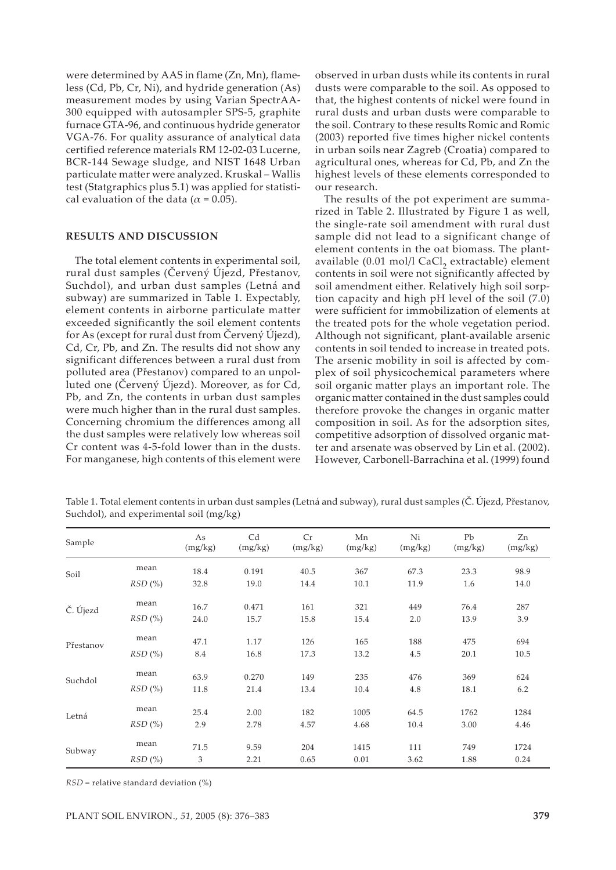were determined by AAS in flame (Zn, Mn), flameless (Cd, Pb, Cr, Ni), and hydride generation (As) measurement modes by using Varian SpectrAA-300 equipped with autosampler SPS-5, graphite furnace GTA-96, and continuous hydride generator VGA-76. For quality assurance of analytical data certified reference materials RM 12-02-03 Lucerne, BCR-144 Sewage sludge, and NIST 1648 Urban particulate matter were analyzed. Kruskal – Wallis test (Statgraphics plus 5.1) was applied for statistical evaluation of the data ( $\alpha$  = 0.05).

#### **RESULTS AND DISCUSSION**

The total element contents in experimental soil, rural dust samples (Červený Újezd, Přestanov, Suchdol), and urban dust samples (Letná and subway) are summarized in Table 1. Expectably, element contents in airborne particulate matter exceeded significantly the soil element contents for As (except for rural dust from Červený Újezd), Cd, Cr, Pb, and Zn. The results did not show any significant differences between a rural dust from polluted area (Přestanov) compared to an unpolluted one (Červený Újezd). Moreover, as for Cd, Pb, and Zn, the contents in urban dust samples were much higher than in the rural dust samples. Concerning chromium the differences among all the dust samples were relatively low whereas soil Cr content was 4-5-fold lower than in the dusts. For manganese, high contents of this element were

observed in urban dusts while its contents in rural dusts were comparable to the soil. As opposed to that, the highest contents of nickel were found in rural dusts and urban dusts were comparable to the soil. Contrary to these results Romic and Romic (2003) reported five times higher nickel contents in urban soils near Zagreb (Croatia) compared to agricultural ones, whereas for Cd, Pb, and Zn the highest levels of these elements corresponded to our research.

The results of the pot experiment are summarized in Table 2. Illustrated by Figure 1 as well, the single-rate soil amendment with rural dust sample did not lead to a significant change of element contents in the oat biomass. The plantavailable (0.01 mol/l CaCl<sub>2</sub> extractable) element contents in soil were not significantly affected by soil amendment either. Relatively high soil sorption capacity and high pH level of the soil (7.0) were sufficient for immobilization of elements at the treated pots for the whole vegetation period. Although not significant, plant-available arsenic contents in soil tended to increase in treated pots. The arsenic mobility in soil is affected by complex of soil physicochemical parameters where soil organic matter plays an important role. The organic matter contained in the dust samples could therefore provoke the changes in organic matter composition in soil. As for the adsorption sites, competitive adsorption of dissolved organic matter and arsenate was observed by Lin et al. (2002). However, Carbonell-Barrachina et al. (1999) found

Table 1. Total element contents in urban dust samples (Letná and subway), rural dust samples (Č. Újezd, Přestanov, Suchdol), and experimental soil (mg/kg)

| Sample    |        | As<br>(mg/kg) | Cd<br>(mg/kg) | Cr<br>(mg/kg) | Mn<br>(mg/kg) | Ni<br>(mg/kg) | Pb<br>(mg/kg) | Zn<br>(mg/kg) |
|-----------|--------|---------------|---------------|---------------|---------------|---------------|---------------|---------------|
| Soil      | mean   | 18.4          | 0.191         | 40.5          | 367           | 67.3          | 23.3          | 98.9          |
|           | RSD(%) | 32.8          | 19.0          | 14.4          | 10.1          | 11.9          | 1.6           | 14.0          |
| Č. Újezd  | mean   | 16.7          | 0.471         | 161           | 321           | 449           | 76.4          | 287           |
|           | RSD(%) | 24.0          | 15.7          | 15.8          | 15.4          | 2.0           | 13.9          | 3.9           |
| Přestanov | mean   | 47.1          | 1.17          | 126           | 165           | 188           | 475           | 694           |
|           | RSD(%) | 8.4           | 16.8          | 17.3          | 13.2          | 4.5           | 20.1          | 10.5          |
| Suchdol   | mean   | 63.9          | 0.270         | 149           | 235           | 476           | 369           | 624           |
|           | RSD(%) | 11.8          | 21.4          | 13.4          | 10.4          | 4.8           | 18.1          | 6.2           |
| Letná     | mean   | 25.4          | 2.00          | 182           | 1005          | 64.5          | 1762          | 1284          |
|           | RSD(%) | 2.9           | 2.78          | 4.57          | 4.68          | 10.4          | 3.00          | 4.46          |
| Subway    | mean   | 71.5          | 9.59          | 204           | 1415          | 111           | 749           | 1724          |
|           | RSD(%) | 3             | 2.21          | 0.65          | 0.01          | 3.62          | 1.88          | 0.24          |

*RSD* = relative standard deviation (%)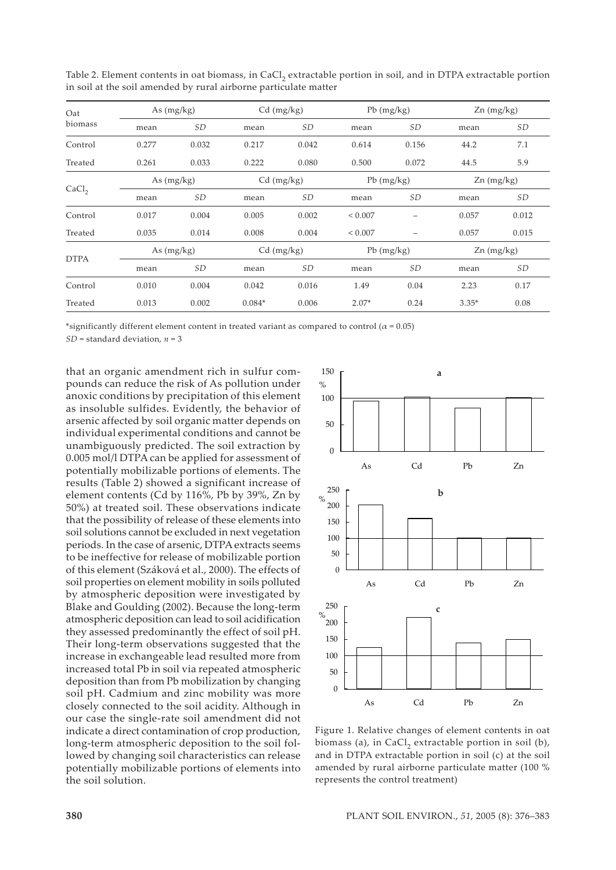| Oat<br>biomass    | As $(mg/kg)$ |           | $Cd$ (mg/kg) |           | $Pb$ (mg/kg) |       | $Zn$ (mg/kg) |                     |
|-------------------|--------------|-----------|--------------|-----------|--------------|-------|--------------|---------------------|
|                   | mean         | <b>SD</b> | mean         | SD        | mean         | SD    | mean         | SD                  |
| Control           | 0.277        | 0.032     | 0.217        | 0.042     | 0.614        | 0.156 | 44.2         | 7.1                 |
| Treated           | 0.261        | 0.033     | 0.222        | 0.080     | 0.500        | 0.072 | 44.5         | 5.9                 |
| CaCl <sub>2</sub> | As $(mg/kg)$ |           | $Cd$ (mg/kg) |           | $Pb$ (mg/kg) |       | $Zn$ (mg/kg) |                     |
|                   | mean         | SD        | mean         | <b>SD</b> | mean         | SD    | mean         | $\operatorname{SD}$ |
| Control           | 0.017        | 0.004     | 0.005        | 0.002     | ${}_{0.007}$ |       | 0.057        | 0.012               |
| Treated           | 0.035        | 0.014     | 0.008        | 0.004     | ${}< 0.007$  |       | 0.057        | 0.015               |
| <b>DTPA</b>       | As $(mg/kg)$ |           | $Cd$ (mg/kg) |           | $Pb$ (mg/kg) |       | $Zn$ (mg/kg) |                     |
|                   | mean         | <b>SD</b> | mean         | SD        | mean         | SD    | mean         | SD                  |
| Control           | 0.010        | 0.004     | 0.042        | 0.016     | 1.49         | 0.04  | 2.23         | 0.17                |
| Treated           | 0.013        | 0.002     | $0.084*$     | 0.006     | $2.07*$      | 0.24  | $3.35*$      | 0.08                |

Table 2. Element contents in oat biomass, in CaCl<sub>2</sub> extractable portion in soil, and in DTPA extractable portion in soil at the soil amended by rural airborne particulate matter

\*significantly different element content in treated variant as compared to control ( $\alpha$  = 0.05)

*SD* = standard deviation, *n* = 3

that an organic amendment rich in sulfur compounds can reduce the risk of As pollution under anoxic conditions by precipitation of this element as insoluble sulfides. Evidently, the behavior of arsenic affected by soil organic matter depends on individual experimental conditions and cannot be unambiguously predicted. The soil extraction by 0.005 mol/l DTPA can be applied for assessment of potentially mobilizable portions of elements. The results (Table 2) showed a significant increase of element contents (Cd by 116%, Pb by 39%, Zn by 50%) at treated soil. These observations indicate that the possibility of release of these elements into soil solutions cannot be excluded in next vegetation periods. In the case of arsenic, DTPA extracts seems to be ineffective for release of mobilizable portion of this element (Száková et al., 2000). The effects of soil properties on element mobility in soils polluted by atmospheric deposition were investigated by Blake and Goulding (2002). Because the long-term atmospheric deposition can lead to soil acidification they assessed predominantly the effect of soil pH. Their long-term observations suggested that the increase in exchangeable lead resulted more from increased total Pb in soil via repeated atmospheric deposition than from Pb mobilization by changing soil pH. Cadmium and zinc mobility was more closely connected to the soil acidity. Although in our case the single-rate soil amendment did not indicate a direct contamination of crop production, long-term atmospheric deposition to the soil followed by changing soil characteristics can release potentially mobilizable portions of elements into the soil solution.



Figure 1. Relative changes of element contents in oat biomass (a), in CaCl<sub>2</sub> extractable portion in soil (b), and in DTPA extractable portion in soil (c) at the soil amended by rural airborne particulate matter (100 % represents the control treatment)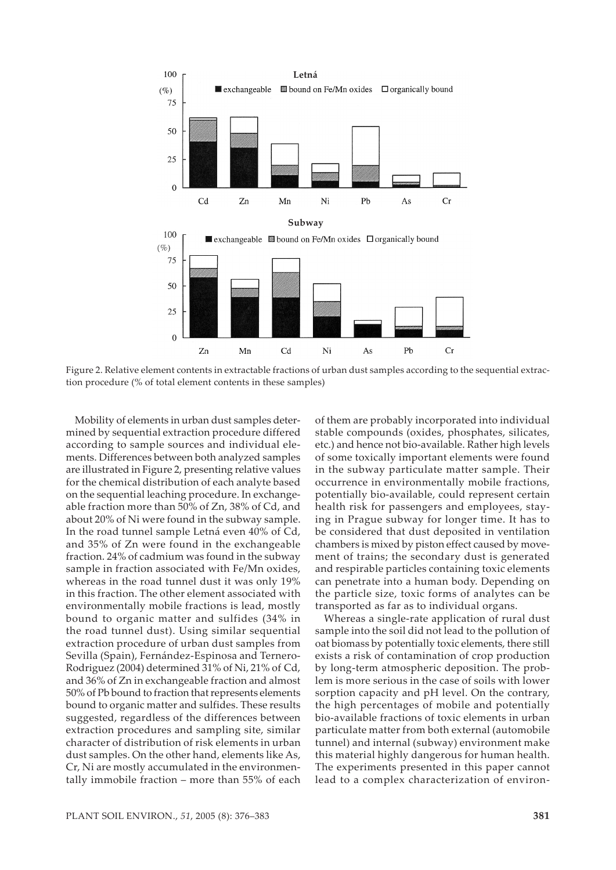

Figure 2. Relative element contents in extractable fractions of urban dust samples according to the sequential extraction procedure (% of total element contents in these samples)

Mobility of elements in urban dust samples determined by sequential extraction procedure differed according to sample sources and individual elements. Differences between both analyzed samples are illustrated in Figure 2, presenting relative values for the chemical distribution of each analyte based on the sequential leaching procedure. In exchangeable fraction more than 50% of Zn, 38% of Cd, and about 20% of Ni were found in the subway sample. In the road tunnel sample Letná even 40% of Cd, and 35% of Zn were found in the exchangeable fraction. 24% of cadmium was found in the subway sample in fraction associated with Fe/Mn oxides, whereas in the road tunnel dust it was only 19% in this fraction. The other element associated with environmentally mobile fractions is lead, mostly bound to organic matter and sulfides (34% in the road tunnel dust). Using similar sequential extraction procedure of urban dust samples from Sevilla (Spain), Fernández-Espinosa and Ternero-Rodriguez (2004) determined 31% of Ni, 21% of Cd, and 36% of Zn in exchangeable fraction and almost 50% of Pb bound to fraction that represents elements bound to organic matter and sulfides. These results suggested, regardless of the differences between extraction procedures and sampling site, similar character of distribution of risk elements in urban dust samples. On the other hand, elements like As, Cr, Ni are mostly accumulated in the environmentally immobile fraction – more than 55% of each of them are probably incorporated into individual stable compounds (oxides, phosphates, silicates, etc.) and hence not bio-available. Rather high levels of some toxically important elements were found in the subway particulate matter sample. Their occurrence in environmentally mobile fractions, potentially bio-available, could represent certain health risk for passengers and employees, staying in Prague subway for longer time. It has to be considered that dust deposited in ventilation chambers is mixed by piston effect caused by movement of trains; the secondary dust is generated and respirable particles containing toxic elements can penetrate into a human body. Depending on the particle size, toxic forms of analytes can be transported as far as to individual organs.

Whereas a single-rate application of rural dust sample into the soil did not lead to the pollution of oat biomass by potentially toxic elements, there still exists a risk of contamination of crop production by long-term atmospheric deposition. The problem is more serious in the case of soils with lower sorption capacity and pH level. On the contrary, the high percentages of mobile and potentially bio-available fractions of toxic elements in urban particulate matter from both external (automobile tunnel) and internal (subway) environment make this material highly dangerous for human health. The experiments presented in this paper cannot lead to a complex characterization of environ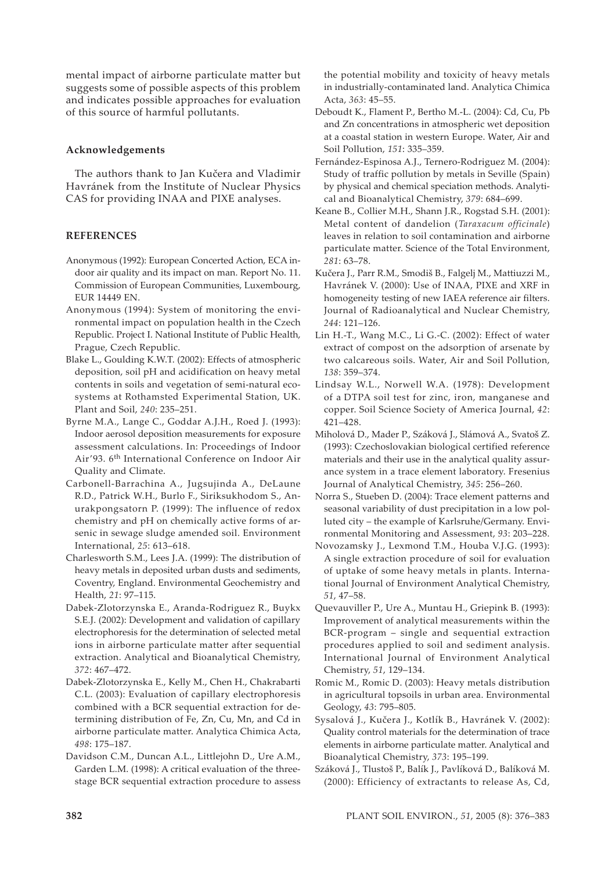mental impact of airborne particulate matter but suggests some of possible aspects of this problem and indicates possible approaches for evaluation of this source of harmful pollutants.

### **Acknowledgements**

The authors thank to Jan Kučera and Vladimir Havránek from the Institute of Nuclear Physics CAS for providing INAA and PIXE analyses.

## **REFERENCES**

- Anonymous (1992): European Concerted Action, ECA indoor air quality and its impact on man. Report No. 11. Commission of European Communities, Luxembourg, EUR 14449 EN.
- Anonymous (1994): System of monitoring the environmental impact on population health in the Czech Republic. Project I. National Institute of Public Health, Prague, Czech Republic.
- Blake L., Goulding K.W.T. (2002): Effects of atmospheric deposition, soil pH and acidification on heavy metal contents in soils and vegetation of semi-natural ecosystems at Rothamsted Experimental Station, UK. Plant and Soil, *240*: 235–251.
- Byrne M.A., Lange C., Goddar A.J.H., Roed J. (1993): Indoor aerosol deposition measurements for exposure assessment calculations. In: Proceedings of Indoor Air'93. 6th International Conference on Indoor Air Quality and Climate.
- Carbonell-Barrachina A., Jugsujinda A., DeLaune R.D., Patrick W.H., Burlo F., Siriksukhodom S., Anurakpongsatorn P. (1999): The influence of redox chemistry and pH on chemically active forms of arsenic in sewage sludge amended soil. Environment International, *25*: 613–618.
- Charlesworth S.M., Lees J.A. (1999): The distribution of heavy metals in deposited urban dusts and sediments, Coventry, England. Environmental Geochemistry and Health, *21*: 97–115.
- Dabek-Zlotorzynska E., Aranda-Rodriguez R., Buykx S.E.J. (2002): Development and validation of capillary electrophoresis for the determination of selected metal ions in airborne particulate matter after sequential extraction. Analytical and Bioanalytical Chemistry, *372*: 467–472.
- Dabek-Zlotorzynska E., Kelly M., Chen H., Chakrabarti C.L. (2003): Evaluation of capillary electrophoresis combined with a BCR sequential extraction for determining distribution of Fe, Zn, Cu, Mn, and Cd in airborne particulate matter. Analytica Chimica Acta, *498*: 175–187.
- Davidson C.M., Duncan A.L., Littlejohn D., Ure A.M., Garden L.M. (1998): A critical evaluation of the threestage BCR sequential extraction procedure to assess

the potential mobility and toxicity of heavy metals in industrially-contaminated land. Analytica Chimica Acta, *363*: 45–55.

- Deboudt K., Flament P., Bertho M.-L. (2004): Cd, Cu, Pb and Zn concentrations in atmospheric wet deposition at a coastal station in western Europe. Water, Air and Soil Pollution, *151*: 335–359.
- Fernández-Espinosa A.J., Ternero-Rodriguez M. (2004): Study of traffic pollution by metals in Seville (Spain) by physical and chemical speciation methods. Analytical and Bioanalytical Chemistry, *379*: 684–699.
- Keane B., Collier M.H., Shann J.R., Rogstad S.H. (2001): Metal content of dandelion (*Taraxacum officinale*) leaves in relation to soil contamination and airborne particulate matter. Science of the Total Environment, *281*: 63–78.
- Kučera J., Parr R.M., Smodiš B., Falgelj M., Mattiuzzi M., Havránek V. (2000): Use of INAA, PIXE and XRF in homogeneity testing of new IAEA reference air filters. Journal of Radioanalytical and Nuclear Chemistry, *244*: 121–126.
- Lin H.-T., Wang M.C., Li G.-C. (2002): Effect of water extract of compost on the adsorption of arsenate by two calcareous soils. Water, Air and Soil Pollution, *138*: 359–374.
- Lindsay W.L., Norwell W.A. (1978): Development of a DTPA soil test for zinc, iron, manganese and copper. Soil Science Society of America Journal, *42*: 421–428.
- Miholová D., Mader P., Száková J., Slámová A., Svatoš Z. (1993): Czechoslovakian biological certified reference materials and their use in the analytical quality assurance system in a trace element laboratory. Fresenius Journal of Analytical Chemistry, *345*: 256–260.
- Norra S., Stueben D. (2004): Trace element patterns and seasonal variability of dust precipitation in a low polluted city – the example of Karlsruhe/Germany. Environmental Monitoring and Assessment, *93*: 203–228.
- Novozamsky J., Lexmond T.M., Houba V.J.G. (1993): A single extraction procedure of soil for evaluation of uptake of some heavy metals in plants. International Journal of Environment Analytical Chemistry, *51*, 47–58.
- Quevauviller P., Ure A., Muntau H., Griepink B. (1993): Improvement of analytical measurements within the BCR-program – single and sequential extraction procedures applied to soil and sediment analysis. International Journal of Environment Analytical Chemistry, *51*, 129–134.
- Romic M., Romic D. (2003): Heavy metals distribution in agricultural topsoils in urban area. Environmental Geology, *43*: 795–805.
- Sysalová J., Kučera J., Kotlík B., Havránek V. (2002): Quality control materials for the determination of trace elements in airborne particulate matter. Analytical and Bioanalytical Chemistry, *373*: 195–199.
- Száková J., Tlustoš P., Balík J., Pavlíková D., Balíková M. (2000): Efficiency of extractants to release As, Cd,